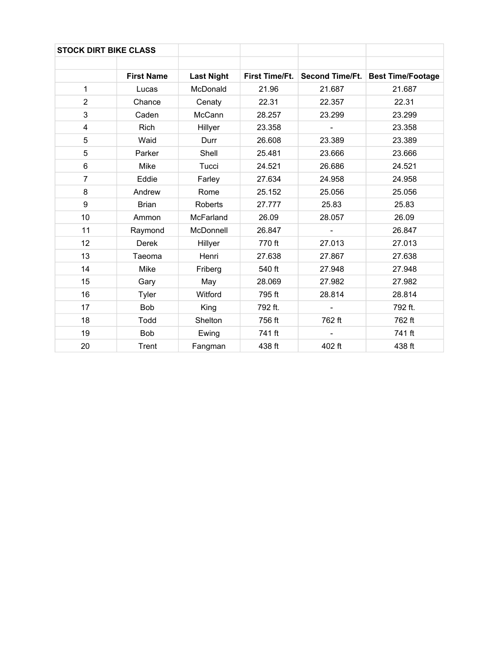| <b>STOCK DIRT BIKE CLASS</b> |                   |                   |                       |                        |                          |
|------------------------------|-------------------|-------------------|-----------------------|------------------------|--------------------------|
|                              |                   |                   |                       |                        |                          |
|                              | <b>First Name</b> | <b>Last Night</b> | <b>First Time/Ft.</b> | <b>Second Time/Ft.</b> | <b>Best Time/Footage</b> |
| 1                            | Lucas             | McDonald          | 21.96                 | 21.687                 | 21.687                   |
| $\overline{2}$               | Chance            | Cenaty            | 22.31                 | 22.357                 | 22.31                    |
| 3                            | Caden             | McCann            | 28.257                | 23.299                 | 23.299                   |
| 4                            | Rich              | Hillyer           | 23.358                |                        | 23.358                   |
| 5                            | Waid              | Durr              | 26.608                | 23.389                 | 23.389                   |
| 5                            | Parker            | Shell             | 25.481                | 23.666                 | 23.666                   |
| 6                            | Mike              | Tucci             | 24.521                | 26.686                 | 24.521                   |
| $\overline{7}$               | Eddie             | Farley            | 27.634                | 24.958                 | 24.958                   |
| 8                            | Andrew            | Rome              | 25.152                | 25.056                 | 25.056                   |
| 9                            | <b>Brian</b>      | <b>Roberts</b>    | 27.777                | 25.83                  | 25.83                    |
| 10                           | Ammon             | McFarland         | 26.09                 | 28.057                 | 26.09                    |
| 11                           | Raymond           | McDonnell         | 26.847                |                        | 26.847                   |
| 12                           | <b>Derek</b>      | Hillyer           | 770 ft                | 27.013                 | 27.013                   |
| 13                           | Taeoma            | Henri             | 27.638                | 27.867                 | 27.638                   |
| 14                           | Mike              | Friberg           | 540 ft                | 27.948                 | 27.948                   |
| 15                           | Gary              | May               | 28.069                | 27.982                 | 27.982                   |
| 16                           | Tyler             | Witford           | 795 ft                | 28.814                 | 28.814                   |
| 17                           | Bob               | King              | 792 ft.               |                        | 792 ft.                  |
| 18                           | Todd              | Shelton           | 756 ft                | 762 ft                 | 762 ft                   |
| 19                           | Bob               | Ewing             | 741 ft                |                        | 741 ft                   |
| 20                           | <b>Trent</b>      | Fangman           | 438 ft                | 402 ft                 | 438 ft                   |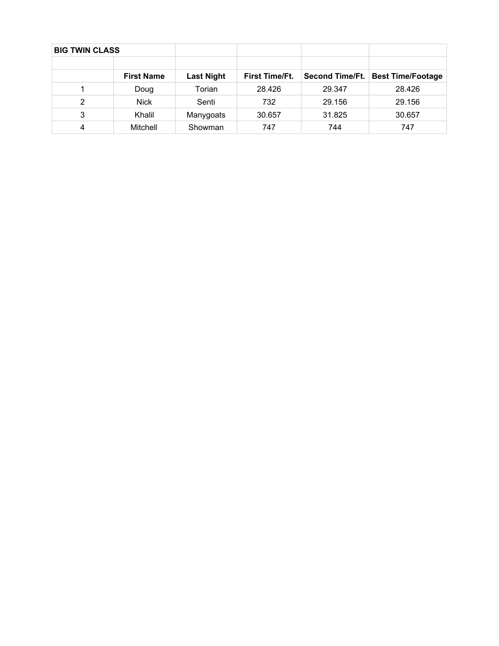| <b>BIG TWIN CLASS</b> |                   |                   |                       |                 |                          |
|-----------------------|-------------------|-------------------|-----------------------|-----------------|--------------------------|
|                       |                   |                   |                       |                 |                          |
|                       | <b>First Name</b> | <b>Last Night</b> | <b>First Time/Ft.</b> | Second Time/Ft. | <b>Best Time/Footage</b> |
|                       | Doug              | Torian            | 28.426                | 29.347          | 28.426                   |
| 2                     | <b>Nick</b>       | Senti             | 732                   | 29.156          | 29.156                   |
| 3                     | Khalil            | Manygoats         | 30.657                | 31.825          | 30.657                   |
| 4                     | Mitchell          | Showman           | 747                   | 744             | 747                      |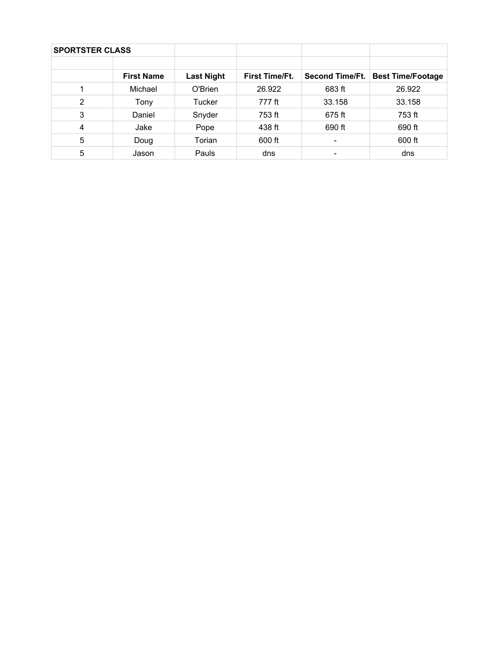| <b>SPORTSTER CLASS</b> |                   |                   |                       |                          |                          |
|------------------------|-------------------|-------------------|-----------------------|--------------------------|--------------------------|
|                        |                   |                   |                       |                          |                          |
|                        | <b>First Name</b> | <b>Last Night</b> | <b>First Time/Ft.</b> | <b>Second Time/Ft.</b>   | <b>Best Time/Footage</b> |
|                        | Michael           | O'Brien           | 26.922                | 683 ft                   | 26.922                   |
| 2                      | Tony              | Tucker            | 777 ft                | 33.158                   | 33.158                   |
| 3                      | Daniel            | Snyder            | 753 ft                | 675 ft                   | 753 ft                   |
| $\overline{4}$         | Jake              | Pope              | 438 ft                | 690 ft                   | 690 ft                   |
| 5                      | Doug              | Torian            | 600 ft                | $\overline{\phantom{a}}$ | 600 ft                   |
| 5                      | Jason             | Pauls             | dns                   | ۰                        | dns                      |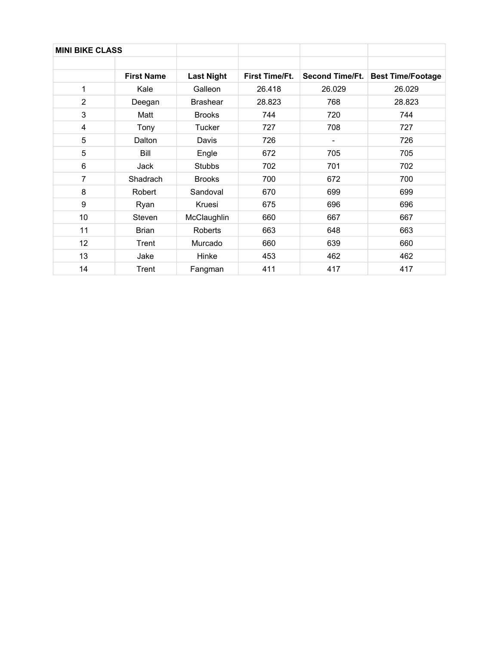| <b>MINI BIKE CLASS</b> |                   |                   |                       |                        |                          |
|------------------------|-------------------|-------------------|-----------------------|------------------------|--------------------------|
|                        |                   |                   |                       |                        |                          |
|                        | <b>First Name</b> | <b>Last Night</b> | <b>First Time/Ft.</b> | <b>Second Time/Ft.</b> | <b>Best Time/Footage</b> |
| 1                      | Kale              | Galleon           | 26.418                | 26.029                 | 26.029                   |
| $\overline{2}$         | Deegan            | <b>Brashear</b>   | 28.823                | 768                    | 28.823                   |
| 3                      | Matt              | <b>Brooks</b>     | 744                   | 720                    | 744                      |
| 4                      | Tony              | <b>Tucker</b>     | 727                   | 708                    | 727                      |
| 5                      | Dalton            | Davis             | 726                   |                        | 726                      |
| 5                      | Bill              | Engle             | 672                   | 705                    | 705                      |
| 6                      | Jack              | <b>Stubbs</b>     | 702                   | 701                    | 702                      |
| 7                      | Shadrach          | <b>Brooks</b>     | 700                   | 672                    | 700                      |
| 8                      | Robert            | Sandoval          | 670                   | 699                    | 699                      |
| 9                      | Ryan              | Kruesi            | 675                   | 696                    | 696                      |
| 10                     | Steven            | McClaughlin       | 660                   | 667                    | 667                      |
| 11                     | <b>Brian</b>      | Roberts           | 663                   | 648                    | 663                      |
| 12                     | Trent             | Murcado           | 660                   | 639                    | 660                      |
| 13                     | Jake              | Hinke             | 453                   | 462                    | 462                      |
| 14                     | Trent             | Fangman           | 411                   | 417                    | 417                      |